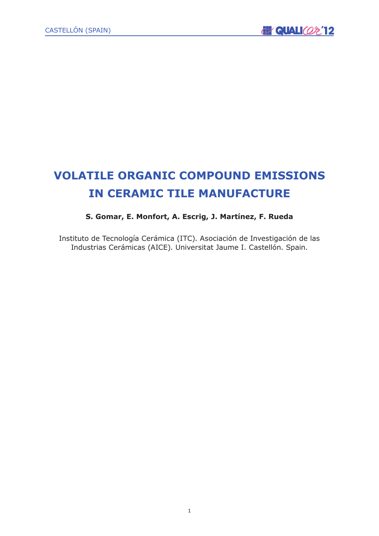# **VOLATILE ORGANIC COMPOUND EMISSIONS IN CERAMIC TILE MANUFACTURE**

# **S. Gomar, E. Monfort, A. Escrig, J. Martínez, F. Rueda**

Instituto de Tecnología Cerámica (ITC). Asociación de Investigación de las Industrias Cerámicas (AICE). Universitat Jaume I. Castellón. Spain.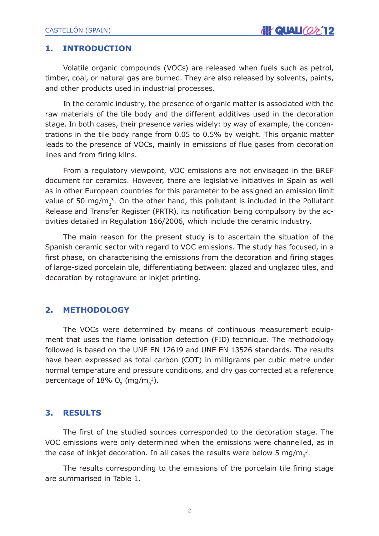#### **1. INTRODUCTION**

Volatile organic compounds (VOCs) are released when fuels such as petrol, timber, coal, or natural gas are burned. They are also released by solvents, paints, and other products used in industrial processes.

In the ceramic industry, the presence of organic matter is associated with the raw materials of the tile body and the different additives used in the decoration stage. In both cases, their presence varies widely: by way of example, the concentrations in the tile body range from 0.05 to 0.5% by weight. This organic matter leads to the presence of VOCs, mainly in emissions of flue gases from decoration lines and from firing kilns.

From a regulatory viewpoint, VOC emissions are not envisaged in the BREF document for ceramics. However, there are legislative initiatives in Spain as well as in other European countries for this parameter to be assigned an emission limit value of 50 mg/m $_0^3$ . On the other hand, this pollutant is included in the Pollutant Release and Transfer Register (PRTR), its notification being compulsory by the activities detailed in Regulation 166/2006, which include the ceramic industry.

The main reason for the present study is to ascertain the situation of the Spanish ceramic sector with regard to VOC emissions. The study has focused, in a first phase, on characterising the emissions from the decoration and firing stages of large-sized porcelain tile, differentiating between: glazed and unglazed tiles, and decoration by rotogravure or inkjet printing.

# **2. METHODOLOGY**

The VOCs were determined by means of continuous measurement equipment that uses the flame ionisation detection (FID) technique. The methodology followed is based on the UNE EN 12619 and UNE EN 13526 standards. The results have been expressed as total carbon (COT) in milligrams per cubic metre under normal temperature and pressure conditions, and dry gas corrected at a reference percentage of  $18\%$  O<sub>2</sub> (mg/m<sub>0</sub><sup>3</sup>).

#### **3. RESULTS**

The first of the studied sources corresponded to the decoration stage. The VOC emissions were only determined when the emissions were channelled, as in the case of inkjet decoration. In all cases the results were below 5 mg/m $_0^3$ .

The results corresponding to the emissions of the porcelain tile firing stage are summarised in Table 1.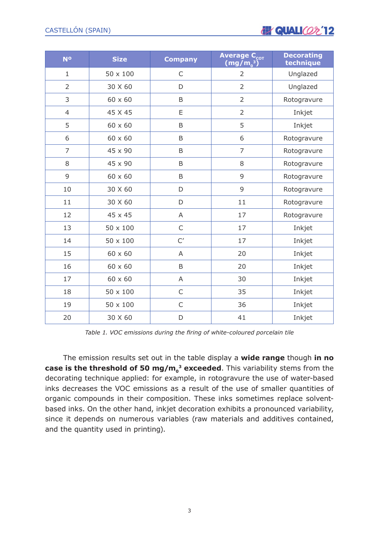

| <b>No</b>      | <b>Size</b>     | <b>Company</b> | Average C <sub>cot</sub><br>$(mg/m^3_0)$ | <b>Decorating</b><br>technique |
|----------------|-----------------|----------------|------------------------------------------|--------------------------------|
| $\mathbf{1}$   | $50 \times 100$ | $\mathsf C$    | $\overline{2}$                           | Unglazed                       |
| $\overline{2}$ | 30 X 60         | D              | $\overline{2}$                           | Unglazed                       |
| 3              | $60 \times 60$  | B              | $\overline{2}$                           | Rotogravure                    |
| $\overline{4}$ | 45 X 45         | E              | $\overline{2}$                           | Inkjet                         |
| 5              | $60 \times 60$  | B              | 5                                        | Inkjet                         |
| 6              | $60 \times 60$  | B              | 6                                        | Rotogravure                    |
| $\overline{7}$ | 45 x 90         | B              | $\overline{7}$                           | Rotogravure                    |
| 8              | 45 x 90         | B              | 8                                        | Rotogravure                    |
| 9              | $60 \times 60$  | B              | 9                                        | Rotogravure                    |
| 10             | 30 X 60         | D              | 9                                        | Rotogravure                    |
| 11             | 30 X 60         | D              | 11                                       | Rotogravure                    |
| 12             | 45 x 45         | A              | 17                                       | Rotogravure                    |
| 13             | $50 \times 100$ | $\mathsf C$    | 17                                       | Inkjet                         |
| 14             | $50 \times 100$ | C'             | 17                                       | Inkjet                         |
| 15             | $60 \times 60$  | A              | 20                                       | Inkjet                         |
| 16             | 60 x 60         | B              | 20                                       | Inkjet                         |
| 17             | $60 \times 60$  | A              | 30                                       | Inkjet                         |
| 18             | $50 \times 100$ | $\mathsf{C}$   | 35                                       | Inkjet                         |
| 19             | $50 \times 100$ | $\mathsf C$    | 36                                       | Inkjet                         |
| 20             | 30 X 60         | D              | 41                                       | Inkjet                         |

*Table 1. VOC emissions during the firing of white-coloured porcelain tile*

The emission results set out in the table display a **wide range** though **in no case is the threshold of 50 mg/m<sub>0</sub><sup>3</sup> exceeded**. This variability stems from the decorating technique applied: for example, in rotogravure the use of water-based inks decreases the VOC emissions as a result of the use of smaller quantities of organic compounds in their composition. These inks sometimes replace solventbased inks. On the other hand, inkjet decoration exhibits a pronounced variability, since it depends on numerous variables (raw materials and additives contained, and the quantity used in printing).